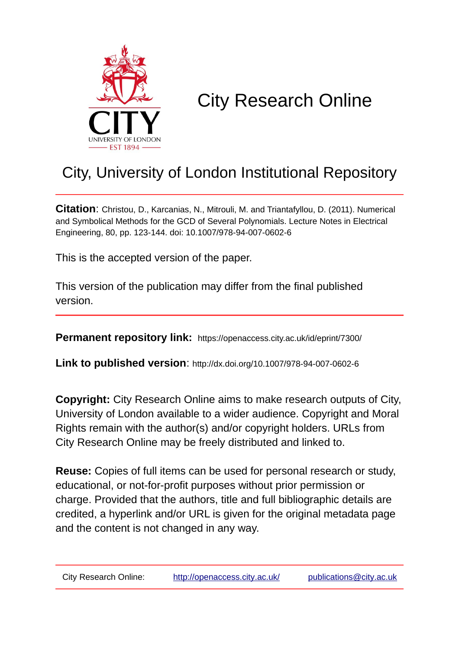

# City Research Online

# City, University of London Institutional Repository

**Citation**: Christou, D., Karcanias, N., Mitrouli, M. and Triantafyllou, D. (2011). Numerical and Symbolical Methods for the GCD of Several Polynomials. Lecture Notes in Electrical Engineering, 80, pp. 123-144. doi: 10.1007/978-94-007-0602-6

This is the accepted version of the paper.

This version of the publication may differ from the final published version.

**Permanent repository link:** https://openaccess.city.ac.uk/id/eprint/7300/

**Link to published version**: http://dx.doi.org/10.1007/978-94-007-0602-6

**Copyright:** City Research Online aims to make research outputs of City, University of London available to a wider audience. Copyright and Moral Rights remain with the author(s) and/or copyright holders. URLs from City Research Online may be freely distributed and linked to.

**Reuse:** Copies of full items can be used for personal research or study, educational, or not-for-profit purposes without prior permission or charge. Provided that the authors, title and full bibliographic details are credited, a hyperlink and/or URL is given for the original metadata page and the content is not changed in any way.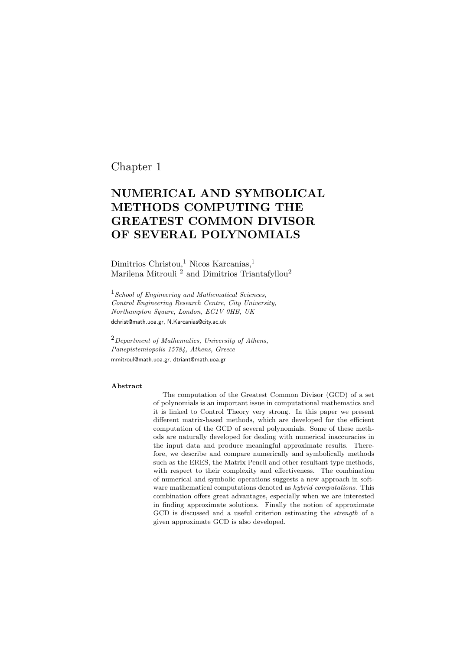## Chapter 1

# NUMERICAL AND SYMBOLICAL METHODS COMPUTING THE GREATEST COMMON DIVISOR OF SEVERAL POLYNOMIALS

Dimitrios Christou,<sup>1</sup> Nicos Karcanias,<sup>1</sup> Marilena Mitrouli<sup>2</sup> and Dimitrios Triantafyllou<sup>2</sup>

<sup>1</sup> School of Engineering and Mathematical Sciences, Control Engineering Research Centre, City University, Northampton Square, London, EC1V 0HB, UK dchrist@math.uoa.gr, N.Karcanias@city.ac.uk

 $2$ Department of Mathematics, University of Athens, Panepistemiopolis 15784, Athens, Greece mmitroul@math.uoa.gr, dtriant@math.uoa.gr

#### Abstract

The computation of the Greatest Common Divisor (GCD) of a set of polynomials is an important issue in computational mathematics and it is linked to Control Theory very strong. In this paper we present different matrix-based methods, which are developed for the efficient computation of the GCD of several polynomials. Some of these methods are naturally developed for dealing with numerical inaccuracies in the input data and produce meaningful approximate results. Therefore, we describe and compare numerically and symbolically methods such as the ERES, the Matrix Pencil and other resultant type methods, with respect to their complexity and effectiveness. The combination of numerical and symbolic operations suggests a new approach in software mathematical computations denoted as *hybrid computations*. This combination offers great advantages, especially when we are interested in finding approximate solutions. Finally the notion of approximate GCD is discussed and a useful criterion estimating the strength of a given approximate GCD is also developed.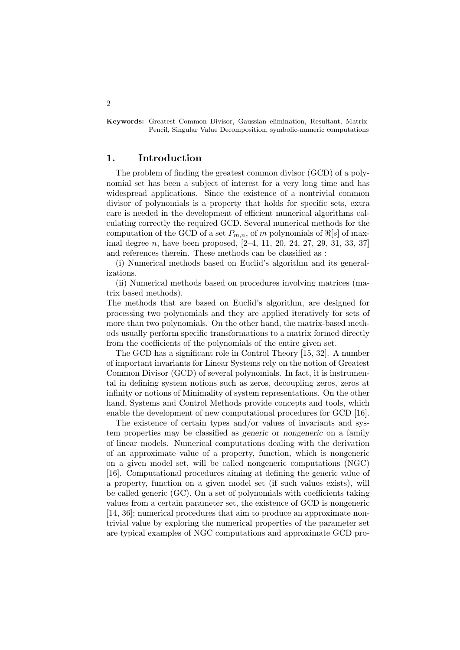Keywords: Greatest Common Divisor, Gaussian elimination, Resultant, Matrix-Pencil, Singular Value Decomposition, symbolic-numeric computations

#### 1. Introduction

The problem of finding the greatest common divisor (GCD) of a polynomial set has been a subject of interest for a very long time and has widespread applications. Since the existence of a nontrivial common divisor of polynomials is a property that holds for specific sets, extra care is needed in the development of efficient numerical algorithms calculating correctly the required GCD. Several numerical methods for the computation of the GCD of a set  $P_{m,n}$ , of m polynomials of  $\Re[s]$  of maximal degree *n*, have been proposed,  $[2-4, 11, 20, 24, 27, 29, 31, 33, 37]$ and references therein. These methods can be classified as :

(i) Numerical methods based on Euclid's algorithm and its generalizations.

(ii) Numerical methods based on procedures involving matrices (matrix based methods).

The methods that are based on Euclid's algorithm, are designed for processing two polynomials and they are applied iteratively for sets of more than two polynomials. On the other hand, the matrix-based methods usually perform specific transformations to a matrix formed directly from the coefficients of the polynomials of the entire given set.

The GCD has a significant role in Control Theory [15, 32]. A number of important invariants for Linear Systems rely on the notion of Greatest Common Divisor (GCD) of several polynomials. In fact, it is instrumental in defining system notions such as zeros, decoupling zeros, zeros at infinity or notions of Minimality of system representations. On the other hand, Systems and Control Methods provide concepts and tools, which enable the development of new computational procedures for GCD [16].

The existence of certain types and/or values of invariants and system properties may be classified as generic or nongeneric on a family of linear models. Numerical computations dealing with the derivation of an approximate value of a property, function, which is nongeneric on a given model set, will be called nongeneric computations (NGC) [16]. Computational procedures aiming at defining the generic value of a property, function on a given model set (if such values exists), will be called generic (GC). On a set of polynomials with coefficients taking values from a certain parameter set, the existence of GCD is nongeneric [14, 36]; numerical procedures that aim to produce an approximate nontrivial value by exploring the numerical properties of the parameter set are typical examples of NGC computations and approximate GCD pro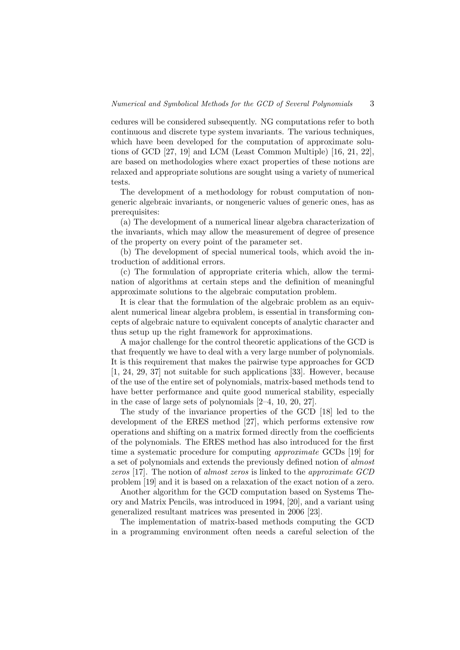cedures will be considered subsequently. NG computations refer to both continuous and discrete type system invariants. The various techniques, which have been developed for the computation of approximate solutions of GCD [27, 19] and LCM (Least Common Multiple) [16, 21, 22], are based on methodologies where exact properties of these notions are relaxed and appropriate solutions are sought using a variety of numerical tests.

The development of a methodology for robust computation of nongeneric algebraic invariants, or nongeneric values of generic ones, has as prerequisites:

(a) The development of a numerical linear algebra characterization of the invariants, which may allow the measurement of degree of presence of the property on every point of the parameter set.

(b) The development of special numerical tools, which avoid the introduction of additional errors.

(c) The formulation of appropriate criteria which, allow the termination of algorithms at certain steps and the definition of meaningful approximate solutions to the algebraic computation problem.

It is clear that the formulation of the algebraic problem as an equivalent numerical linear algebra problem, is essential in transforming concepts of algebraic nature to equivalent concepts of analytic character and thus setup up the right framework for approximations.

A major challenge for the control theoretic applications of the GCD is that frequently we have to deal with a very large number of polynomials. It is this requirement that makes the pairwise type approaches for GCD [1, 24, 29, 37] not suitable for such applications [33]. However, because of the use of the entire set of polynomials, matrix-based methods tend to have better performance and quite good numerical stability, especially in the case of large sets of polynomials [2–4, 10, 20, 27].

The study of the invariance properties of the GCD [18] led to the development of the ERES method [27], which performs extensive row operations and shifting on a matrix formed directly from the coefficients of the polynomials. The ERES method has also introduced for the first time a systematic procedure for computing approximate GCDs [19] for a set of polynomials and extends the previously defined notion of almost zeros [17]. The notion of almost zeros is linked to the approximate GCD problem [19] and it is based on a relaxation of the exact notion of a zero.

Another algorithm for the GCD computation based on Systems Theory and Matrix Pencils, was introduced in 1994, [20], and a variant using generalized resultant matrices was presented in 2006 [23].

The implementation of matrix-based methods computing the GCD in a programming environment often needs a careful selection of the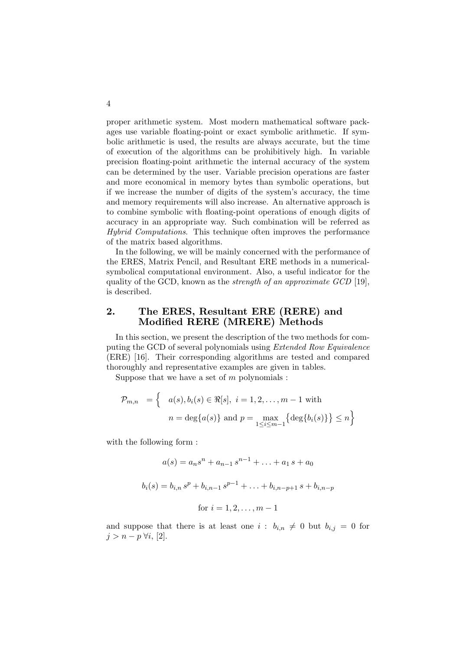proper arithmetic system. Most modern mathematical software packages use variable floating-point or exact symbolic arithmetic. If symbolic arithmetic is used, the results are always accurate, but the time of execution of the algorithms can be prohibitively high. In variable precision floating-point arithmetic the internal accuracy of the system can be determined by the user. Variable precision operations are faster and more economical in memory bytes than symbolic operations, but if we increase the number of digits of the system's accuracy, the time and memory requirements will also increase. An alternative approach is to combine symbolic with floating-point operations of enough digits of accuracy in an appropriate way. Such combination will be referred as Hybrid Computations. This technique often improves the performance of the matrix based algorithms.

In the following, we will be mainly concerned with the performance of the ERES, Matrix Pencil, and Resultant ERE methods in a numericalsymbolical computational environment. Also, a useful indicator for the quality of the GCD, known as the strength of an approximate GCD [19], is described.

#### 2. The ERES, Resultant ERE (RERE) and Modified RERE (MRERE) Methods

In this section, we present the description of the two methods for computing the GCD of several polynomials using Extended Row Equivalence (ERE) [16]. Their corresponding algorithms are tested and compared thoroughly and representative examples are given in tables.

Suppose that we have a set of  $m$  polynomials :

$$
\mathcal{P}_{m,n} = \left\{ \begin{array}{l} a(s), b_i(s) \in \Re[s], \ i = 1, 2, \dots, m-1 \text{ with} \\ n = \deg\{a(s)\} \text{ and } p = \max_{1 \le i \le m-1} \left\{ \deg\{b_i(s)\} \right\} \le n \right\} \end{array} \right.
$$

with the following form :

$$
a(s) = a_n s^n + a_{n-1} s^{n-1} + \dots + a_1 s + a_0
$$
  

$$
b_i(s) = b_{i,n} s^p + b_{i,n-1} s^{p-1} + \dots + b_{i,n-p+1} s + b_{i,n-p}
$$
  
for  $i = 1, 2, \dots, m-1$ 

and suppose that there is at least one  $i : b_{i,n} \neq 0$  but  $b_{i,j} = 0$  for  $j > n - p \forall i, [2].$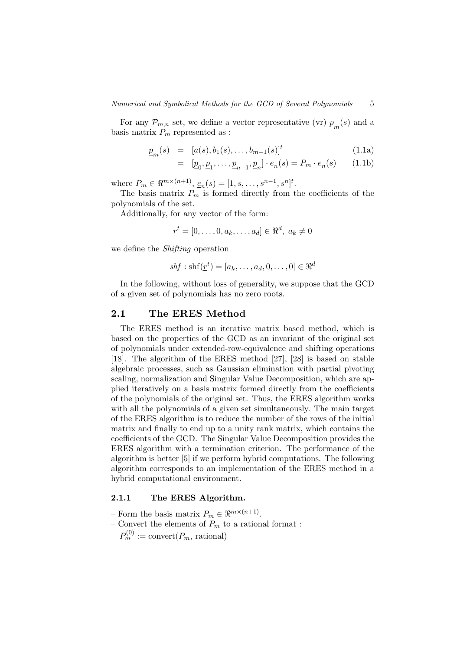For any  $\mathcal{P}_{m,n}$  set, we define a vector representative (vr)  $\underline{p}_m(s)$  and a basis matrix  $P_m$  represented as :

$$
\underline{p}_m(s) = [a(s), b_1(s), \dots, b_{m-1}(s)]^t
$$
\n(1.1a)

$$
= [p_0, p_1, \dots, p_{n-1}, p_n] \cdot e_n(s) = P_m \cdot e_n(s) \qquad (1.1b)
$$

where  $P_m \in \mathbb{R}^{m \times (n+1)}$ ,  $\underline{e}_n(s) = [1, s, \dots, s^{n-1}, s^n]^t$ .

The basis matrix  $P_m$  is formed directly from the coefficients of the polynomials of the set.

Additionally, for any vector of the form:

$$
\underline{r}^t = [0, \dots, 0, a_k, \dots, a_d] \in \Re^d, a_k \neq 0
$$

we define the Shifting operation

$$
sht: \text{shf}(\underline{r}^t) = [a_k, \dots, a_d, 0, \dots, 0] \in \Re^d
$$

In the following, without loss of generality, we suppose that the GCD of a given set of polynomials has no zero roots.

#### 2.1 The ERES Method

The ERES method is an iterative matrix based method, which is based on the properties of the GCD as an invariant of the original set of polynomials under extended-row-equivalence and shifting operations [18]. The algorithm of the ERES method [27], [28] is based on stable algebraic processes, such as Gaussian elimination with partial pivoting scaling, normalization and Singular Value Decomposition, which are applied iteratively on a basis matrix formed directly from the coefficients of the polynomials of the original set. Thus, the ERES algorithm works with all the polynomials of a given set simultaneously. The main target of the ERES algorithm is to reduce the number of the rows of the initial matrix and finally to end up to a unity rank matrix, which contains the coefficients of the GCD. The Singular Value Decomposition provides the ERES algorithm with a termination criterion. The performance of the algorithm is better [5] if we perform hybrid computations. The following algorithm corresponds to an implementation of the ERES method in a hybrid computational environment.

#### 2.1.1 The ERES Algorithm.

- Form the basis matrix  $P_m \in \mathbb{R}^{m \times (n+1)}$ .
- Convert the elements of  $P_m$  to a rational format :
	- $P_m^{(0)} := \text{convert}(P_m, \text{ rational})$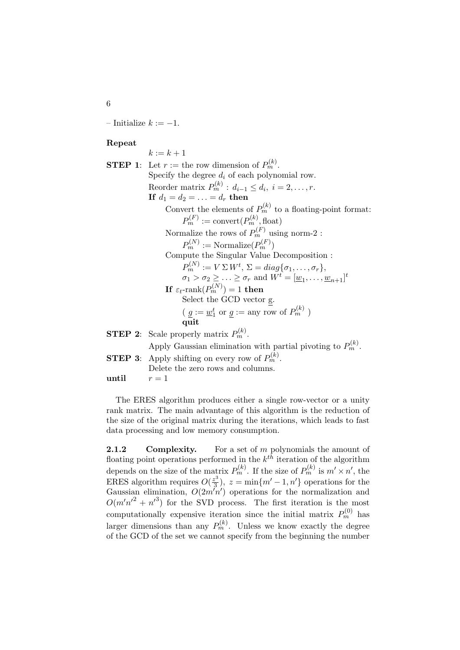– Initialize  $k := -1$ .

#### Repeat

 $k := k + 1$ **STEP 1:** Let  $r :=$  the row dimension of  $P_m^{(k)}$ . Specify the degree  $d_i$  of each polynomial row. Reorder matrix  $P_m^{(k)}$ :  $d_{i-1} \leq d_i$ ,  $i = 2, \ldots, r$ . If  $d_1 = d_2 = ... = d_r$  then Convert the elements of  $P_m^{(k)}$  to a floating-point format:  $P_m^{(F)} := \text{convert}(P_m^{(k)}, \text{float})$ Normalize the rows of  $P_m^{(F)}$  using norm-2:  $P_m^{(N)} := \text{Normalize}(P_m^{(F)})$ Compute the Singular Value Decomposition :  $P_m^{(N)} := V \Sigma W^t, \, \Sigma = diag\{\sigma_1, \ldots, \sigma_r\},\,$  $\sigma_1 > \sigma_2 \geq \ldots \geq \sigma_r$  and  $W^t = [\underline{w}_1, \ldots, \underline{w}_{n+1}]^t$  ${\bf If} \,\, \varepsilon_t\text{-rank}(P_m^{(N)})=1 \,\, {\bf then}$ Select the GCD vector g. (  $\underline{g}:=\underline{w}_1^t$  or  $\underline{g}:=$  any row of<br>  $P_m^{(k)}$  )  $\alpha$ uit **STEP 2:** Scale properly matrix  $P_m^{(k)}$ . Apply Gaussian elimination with partial pivoting to  $P_m^{(k)}$ .

**STEP 3**: Apply shifting on every row of  $P_m^{(k)}$ . Delete the zero rows and columns.

until  $r = 1$ 

The ERES algorithm produces either a single row-vector or a unity rank matrix. The main advantage of this algorithm is the reduction of the size of the original matrix during the iterations, which leads to fast data processing and low memory consumption.

**2.1.2** Complexity. For a set of m polynomials the amount of floating point operations performed in the  $k^{th}$  iteration of the algorithm depends on the size of the matrix  $P_m^{(k)}$ . If the size of  $P_m^{(k)}$  is  $m' \times n'$ , the ERES algorithm requires  $O(\frac{z^3}{3})$  $\left(\frac{z^3}{3}\right), z = \min\{m' - 1, n'\}\$ operations for the Gaussian elimination,  $O(2m'n')$  operations for the normalization and  $O(m'n'^2 + n'^3)$  for the SVD process. The first iteration is the most computationally expensive iteration since the initial matrix  $P_m^{(0)}$  has larger dimensions than any  $P_m^{(k)}$ . Unless we know exactly the degree of the GCD of the set we cannot specify from the beginning the number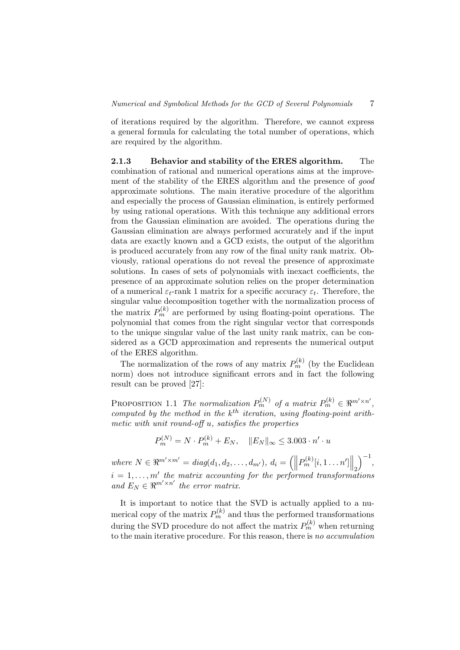of iterations required by the algorithm. Therefore, we cannot express a general formula for calculating the total number of operations, which are required by the algorithm.

2.1.3 Behavior and stability of the ERES algorithm. The combination of rational and numerical operations aims at the improvement of the stability of the ERES algorithm and the presence of good approximate solutions. The main iterative procedure of the algorithm and especially the process of Gaussian elimination, is entirely performed by using rational operations. With this technique any additional errors from the Gaussian elimination are avoided. The operations during the Gaussian elimination are always performed accurately and if the input data are exactly known and a GCD exists, the output of the algorithm is produced accurately from any row of the final unity rank matrix. Obviously, rational operations do not reveal the presence of approximate solutions. In cases of sets of polynomials with inexact coefficients, the presence of an approximate solution relies on the proper determination of a numerical  $\varepsilon_t$ -rank 1 matrix for a specific accuracy  $\varepsilon_t$ . Therefore, the singular value decomposition together with the normalization process of the matrix  $P_m^{(k)}$  are performed by using floating-point operations. The polynomial that comes from the right singular vector that corresponds to the unique singular value of the last unity rank matrix, can be considered as a GCD approximation and represents the numerical output of the ERES algorithm.

The normalization of the rows of any matrix  $P_m^{(k)}$  (by the Euclidean norm) does not introduce significant errors and in fact the following result can be proved [27]:

PROPOSITION 1.1 The normalization  $P_m^{(N)}$  of a matrix  $P_m^{(k)} \in \mathbb{R}^{m' \times n'}$ , computed by the method in the  $k^{th}$  iteration, using floating-point arithmetic with unit round-off u, satisfies the properties

$$
P_m^{(N)} = N \cdot P_m^{(k)} + E_N, \quad ||E_N||_{\infty} \le 3.003 \cdot n' \cdot u
$$

where  $N \in \mathbb{R}^{m' \times m'} = diag(d_1, d_2, \dots, d_{m'}), d_i = \left( \left\| \right.$  $P_m^{(k)}[i, 1 \ldots n']$  $\Big\|_2$  $\Big)^{-1},$  $i = 1, \ldots, m'$  the matrix accounting for the performed transformations and  $E_N \in \mathbb{R}^{m' \times n'}$  the error matrix.

It is important to notice that the SVD is actually applied to a numerical copy of the matrix  $P_m^{(k)}$  and thus the performed transformations during the SVD procedure do not affect the matrix  $P_m^{(k)}$  when returning to the main iterative procedure. For this reason, there is no accumulation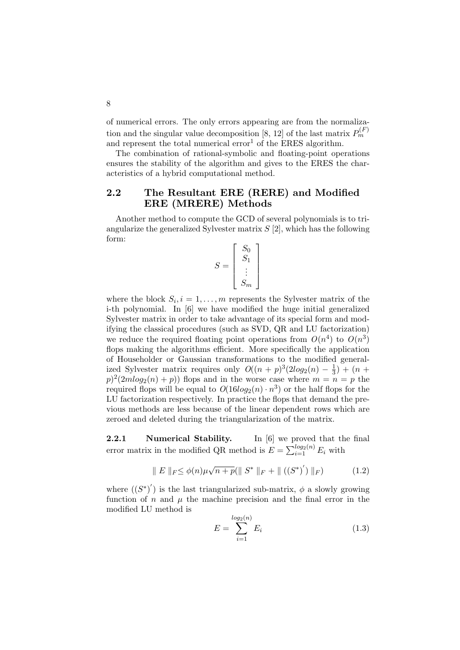of numerical errors. The only errors appearing are from the normalization and the singular value decomposition [8, 12] of the last matrix  $P_m^{(F)}$ and represent the total numerical error<sup>1</sup> of the ERES algorithm.

The combination of rational-symbolic and floating-point operations ensures the stability of the algorithm and gives to the ERES the characteristics of a hybrid computational method.

#### 2.2 The Resultant ERE (RERE) and Modified ERE (MRERE) Methods

Another method to compute the GCD of several polynomials is to triangularize the generalized Sylvester matrix  $S[2]$ , which has the following form:

$$
S = \left[ \begin{array}{c} S_0 \\ S_1 \\ \vdots \\ S_m \end{array} \right]
$$

where the block  $S_i, i = 1, \ldots, m$  represents the Sylvester matrix of the i-th polynomial. In [6] we have modified the huge initial generalized Sylvester matrix in order to take advantage of its special form and modifying the classical procedures (such as SVD, QR and LU factorization) we reduce the required floating point operations from  $O(n^4)$  to  $O(n^3)$ flops making the algorithms efficient. More specifically the application of Householder or Gaussian transformations to the modified generalized Sylvester matrix requires only  $O((n+p)^3(2log_2(n)-\frac{1}{3}))$  $(\frac{1}{3}) + (n +$  $p^2(2mlog_2(n) + p)$  flops and in the worse case where  $m = n - p$  the required flops will be equal to  $O(16log_2(n) \cdot n^3)$  or the half flops for the LU factorization respectively. In practice the flops that demand the previous methods are less because of the linear dependent rows which are zeroed and deleted during the triangularization of the matrix.

2.2.1 Numerical Stability. In [6] we proved that the final error matrix in the modified QR method is  $E = \sum_{i=1}^{log_2(n)} E_i$  with

$$
\| E \|_{F} \le \phi(n) \mu \sqrt{n+p} (\| S^* \|_{F} + \| ((S^*)') \|_{F}) \tag{1.2}
$$

where  $((S^*)')$  is the last triangularized sub-matrix,  $\phi$  a slowly growing function of n and  $\mu$  the machine precision and the final error in the modified LU method is

$$
E = \sum_{i=1}^{\log_2(n)} E_i
$$
 (1.3)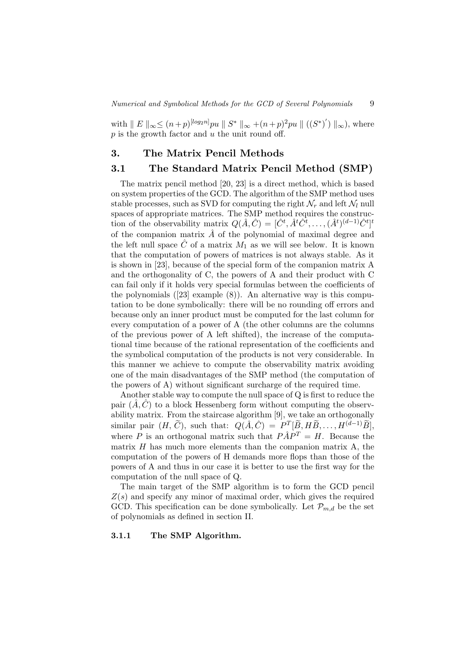with  $\| E \|_{\infty} \leq (n+p)^{[\log_2 n]} p u \| S^* \|_{\infty} + (n+p)^2 p u \| ((S^*)') \|_{\infty}$ , where  $p$  is the growth factor and  $u$  the unit round off.

#### 3. The Matrix Pencil Methods

#### 3.1 The Standard Matrix Pencil Method (SMP)

The matrix pencil method [20, 23] is a direct method, which is based on system properties of the GCD. The algorithm of the SMP method uses stable processes, such as SVD for computing the right  $\mathcal{N}_r$  and left  $\mathcal{N}_l$  null spaces of appropriate matrices. The SMP method requires the construction of the observability matrix  $Q(\hat{A}, \hat{C}) = [\hat{C}^t, \hat{A}^t \hat{C}^t, \dots, (\hat{A}^t)^{(d-1)} \hat{C}^t]^t$ of the companion matrix  $\hat{A}$  of the polynomial of maximal degree and the left null space  $\hat{C}$  of a matrix  $M_1$  as we will see below. It is known that the computation of powers of matrices is not always stable. As it is shown in [23], because of the special form of the companion matrix A and the orthogonality of C, the powers of A and their product with C can fail only if it holds very special formulas between the coefficients of the polynomials  $(23)$  example  $(8)$ ). An alternative way is this computation to be done symbolically: there will be no rounding off errors and because only an inner product must be computed for the last column for every computation of a power of A (the other columns are the columns of the previous power of A left shifted), the increase of the computational time because of the rational representation of the coefficients and the symbolical computation of the products is not very considerable. In this manner we achieve to compute the observability matrix avoiding one of the main disadvantages of the SMP method (the computation of the powers of A) without significant surcharge of the required time.

Another stable way to compute the null space of Q is first to reduce the pair  $(A, C)$  to a block Hessenberg form without computing the observability matrix. From the staircase algorithm [9], we take an orthogonally similar pair  $(H, \widetilde{C})$ , such that:  $Q(\hat{A}, \hat{C}) = P^T[\widetilde{B}, H\widetilde{B}, \ldots, H^{(d-1)}\widetilde{B}],$ where P is an orthogonal matrix such that  $P\hat{A}P^{T} = H$ . Because the matrix  $H$  has much more elements than the companion matrix  $A$ , the computation of the powers of H demands more flops than those of the powers of A and thus in our case it is better to use the first way for the computation of the null space of Q.

The main target of the SMP algorithm is to form the GCD pencil  $Z(s)$  and specify any minor of maximal order, which gives the required GCD. This specification can be done symbolically. Let  $\mathcal{P}_{m,d}$  be the set of polynomials as defined in section II.

#### 3.1.1 The SMP Algorithm.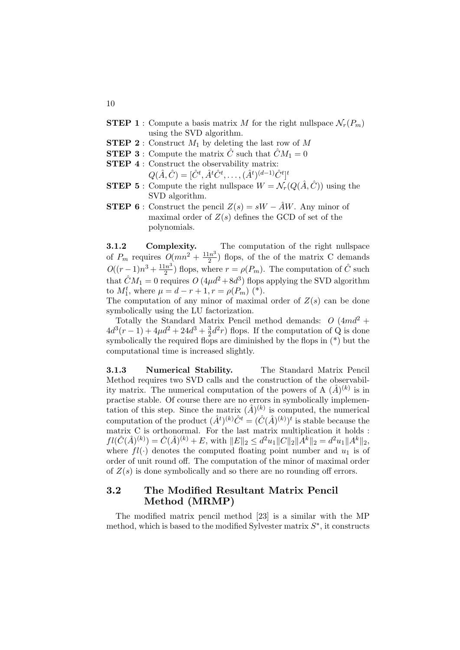- **STEP 1** : Compute a basis matrix M for the right nullspace  $\mathcal{N}_r(P_m)$ using the SVD algorithm.
- **STEP 2** : Construct  $M_1$  by deleting the last row of M
- **STEP 3** : Compute the matrix  $\hat{C}$  such that  $\hat{C}M_1 = 0$
- STEP 4 : Construct the observability matrix:
	- $Q(\hat{A}, \hat{C}) = [\hat{C}^t, \hat{A}^t \hat{C}^t, \dots, (\hat{A}^t)^{(d-1)} \hat{C}^t]^t$
- **STEP 5** : Compute the right nullspace  $W = \mathcal{N}_r(Q(\hat{A}, \hat{C}))$  using the SVD algorithm.
- **STEP 6** : Construct the pencil  $Z(s) = sW \hat{A}W$ . Any minor of maximal order of  $Z(s)$  defines the GCD of set of the polynomials.

3.1.2 Complexity. The computation of the right nullspace of  $P_m$  requires  $O(mn^2 + \frac{11n^3}{2})$  $\frac{(n^{\circ})}{2}$  flops, of the of the matrix C demands  $O((r-1)n^3 + \frac{11n^3}{2})$  $\frac{(n^3)}{2}$  flops, where  $r = \rho(P_m)$ . The computation of  $\hat{C}$  such that  $\hat{C}M_1 = 0$  requires  $O(4\mu d^2 + 8d^3)$  flops applying the SVD algorithm to  $M_1^t$ , where  $\mu = d - r + 1, r = \rho(P_m)$  (\*).

The computation of any minor of maximal order of  $Z(s)$  can be done symbolically using the LU factorization.

Totally the Standard Matrix Pencil method demands:  $O(4md^2 +$  $4d^3(r-1) + 4\mu d^2 + 24d^3 + \frac{3}{2}$  $\frac{3}{2}d^2r$  flops. If the computation of Q is done symbolically the required flops are diminished by the flops in (\*) but the computational time is increased slightly.

3.1.3 Numerical Stability. The Standard Matrix Pencil Method requires two SVD calls and the construction of the observability matrix. The numerical computation of the powers of A  $(\hat{A})^{(k)}$  is in practise stable. Of course there are no errors in symbolically implementation of this step. Since the matrix  $(\hat{A})^{(k)}$  is computed, the numerical computation of the product  $(\hat{A}^t)^{(k)}\hat{C}^t = (\hat{C}(\hat{A})^{(k)})^t$  is stable because the matrix C is orthonormal. For the last matrix multiplication it holds :  $fl(\hat{C}(\hat{A})^{(k)}) = \hat{C}(\hat{A})^{(k)} + E$ , with  $||E||_2 \leq d^2 u_1 ||C||_2 ||A^k||_2 = d^2 u_1 ||A^k||_2$ , where  $fl(\cdot)$  denotes the computed floating point number and  $u_1$  is of order of unit round off. The computation of the minor of maximal order of  $Z(s)$  is done symbolically and so there are no rounding off errors.

#### 3.2 The Modified Resultant Matrix Pencil Method (MRMP)

The modified matrix pencil method [23] is a similar with the MP method, which is based to the modified Sylvester matrix  $S^*$ , it constructs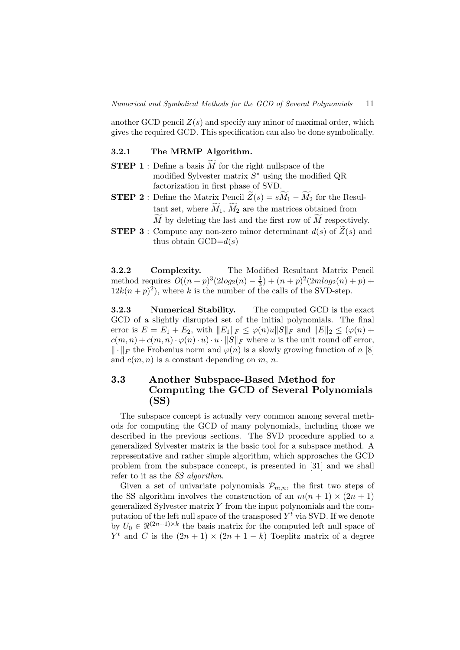another GCD pencil  $Z(s)$  and specify any minor of maximal order, which gives the required GCD. This specification can also be done symbolically.

#### 3.2.1 The MRMP Algorithm.

- **STEP 1** : Define a basis  $\widetilde{M}$  for the right nullspace of the modified Sylvester matrix  $S^*$  using the modified QR factorization in first phase of SVD.
- **STEP 2**: Define the Matrix Pencil  $\widetilde{Z}(s) = s\widetilde{M}_1 \widetilde{M}_2$  for the Resultant set, where  $\widetilde{M}_1$ ,  $\widetilde{M}_2$  are the matrices obtained from  $\widetilde{M}$  by deleting the last and the first row of  $\widetilde{M}$  respectively.
- **STEP 3**: Compute any non-zero minor determinant  $d(s)$  of  $\overline{Z}(s)$  and thus obtain  $\text{GCD} = d(s)$

3.2.2 Complexity. The Modified Resultant Matrix Pencil method requires  $O((n+p)^3(2log_2(n)-\frac{1}{3}))$  $(\frac{1}{3}) + (n+p)^2(2mlog_2(n) + p) +$  $12k(n+p)^2$ , where k is the number of the calls of the SVD-step.

3.2.3 Numerical Stability. The computed GCD is the exact GCD of a slightly disrupted set of the initial polynomials. The final error is  $E = E_1 + E_2$ , with  $||E_1||_F \leq \varphi(n)u||S||_F$  and  $||E||_2 \leq (\varphi(n) +$  $c(m, n) + c(m, n) \cdot \varphi(n) \cdot u \cdot ||S||_F$  where u is the unit round off error,  $\|\cdot\|_F$  the Frobenius norm and  $\varphi(n)$  is a slowly growing function of n [8] and  $c(m, n)$  is a constant depending on m, n.

### 3.3 Another Subspace-Based Method for Computing the GCD of Several Polynomials (SS)

The subspace concept is actually very common among several methods for computing the GCD of many polynomials, including those we described in the previous sections. The SVD procedure applied to a generalized Sylvester matrix is the basic tool for a subspace method. A representative and rather simple algorithm, which approaches the GCD problem from the subspace concept, is presented in [31] and we shall refer to it as the SS algorithm.

Given a set of univariate polynomials  $\mathcal{P}_{m,n}$ , the first two steps of the SS algorithm involves the construction of an  $m(n + 1) \times (2n + 1)$ generalized Sylvester matrix Y from the input polynomials and the computation of the left null space of the transposed  $Y<sup>t</sup>$  via SVD. If we denote by  $U_0 \in \mathbb{R}^{(2n+1)\times k}$  the basis matrix for the computed left null space of  $Y^t$  and C is the  $(2n + 1) \times (2n + 1 - k)$  Toeplitz matrix of a degree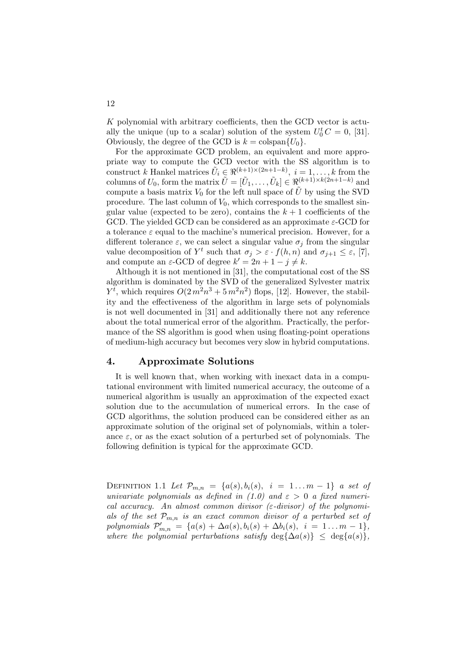$K$  polynomial with arbitrary coefficients, then the GCD vector is actually the unique (up to a scalar) solution of the system  $U_0^t C = 0$ , [31]. Obviously, the degree of the GCD is  $k = \text{colspan}\{U_0\}.$ 

For the approximate GCD problem, an equivalent and more appropriate way to compute the GCD vector with the SS algorithm is to construct k Hankel matrices  $\tilde{U}_i \in \Re^{(k+1)\times(2n+1-k)}$ ,  $i = 1, \ldots, k$  from the columns of  $U_0$ , form the matrix  $\tilde{U} = [\tilde{U}_1,\ldots,\tilde{U}_k] \in \Re^{(k+1) \times k(2n+1-k)}$  and compute a basis matrix  $V_0$  for the left null space of  $\tilde{U}$  by using the SVD procedure. The last column of  $V_0$ , which corresponds to the smallest singular value (expected to be zero), contains the  $k+1$  coefficients of the GCD. The yielded GCD can be considered as an approximate  $\varepsilon$ -GCD for a tolerance  $\varepsilon$  equal to the machine's numerical precision. However, for a different tolerance  $\varepsilon$ , we can select a singular value  $\sigma_j$  from the singular value decomposition of  $Y^t$  such that  $\sigma_j > \varepsilon \cdot f(h,n)$  and  $\sigma_{j+1} \leq \varepsilon$ , [7], and compute an  $\varepsilon$ -GCD of degree  $k' = 2n + 1 - j \neq k$ .

Although it is not mentioned in [31], the computational cost of the SS algorithm is dominated by the SVD of the generalized Sylvester matrix  $Y^t$ , which requires  $O(2m^2n^3 + 5m^2n^2)$  flops, [12]. However, the stability and the effectiveness of the algorithm in large sets of polynomials is not well documented in [31] and additionally there not any reference about the total numerical error of the algorithm. Practically, the performance of the SS algorithm is good when using floating-point operations of medium-high accuracy but becomes very slow in hybrid computations.

#### 4. Approximate Solutions

It is well known that, when working with inexact data in a computational environment with limited numerical accuracy, the outcome of a numerical algorithm is usually an approximation of the expected exact solution due to the accumulation of numerical errors. In the case of GCD algorithms, the solution produced can be considered either as an approximate solution of the original set of polynomials, within a tolerance  $\varepsilon$ , or as the exact solution of a perturbed set of polynomials. The following definition is typical for the approximate GCD.

DEFINITION 1.1 Let  $\mathcal{P}_{m,n} = \{a(s), b_i(s), i = 1...m-1\}$  a set of univariate polynomials as defined in (1.0) and  $\varepsilon > 0$  a fixed numerical accuracy. An almost common divisor ( $\varepsilon$ -divisor) of the polynomials of the set  $\mathcal{P}_{m,n}$  is an exact common divisor of a perturbed set of polynomials  $\mathcal{P}'_{m,n} = \{a(s) + \Delta a(s), b_i(s) + \Delta b_i(s), i = 1...m - 1\},\$ where the polynomial perturbations satisfy deg $\{\Delta a(s)\}\leq \deg\{a(s)\}\,$ ,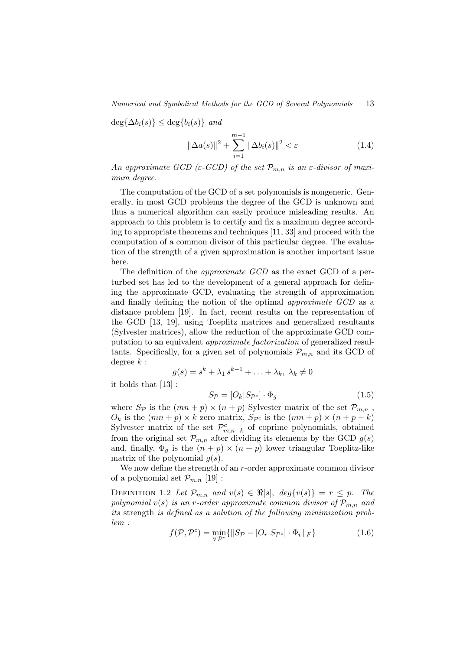$\deg{\{\Delta b_i(s)\}} \leq \deg{b_i(s)\}\$ and

$$
\|\Delta a(s)\|^2 + \sum_{i=1}^{m-1} \|\Delta b_i(s)\|^2 < \varepsilon \tag{1.4}
$$

An approximate GCD ( $\varepsilon$ -GCD) of the set  $\mathcal{P}_{m,n}$  is an  $\varepsilon$ -divisor of maximum degree.

The computation of the GCD of a set polynomials is nongeneric. Generally, in most GCD problems the degree of the GCD is unknown and thus a numerical algorithm can easily produce misleading results. An approach to this problem is to certify and fix a maximum degree according to appropriate theorems and techniques [11, 33] and proceed with the computation of a common divisor of this particular degree. The evaluation of the strength of a given approximation is another important issue here.

The definition of the *approximate GCD* as the exact GCD of a perturbed set has led to the development of a general approach for defining the approximate GCD, evaluating the strength of approximation and finally defining the notion of the optimal approximate GCD as a distance problem [19]. In fact, recent results on the representation of the GCD [13, 19], using Toeplitz matrices and generalized resultants (Sylvester matrices), allow the reduction of the approximate GCD computation to an equivalent approximate factorization of generalized resultants. Specifically, for a given set of polynomials  $\mathcal{P}_{m,n}$  and its GCD of degree  $k$  :

$$
g(s) = s^k + \lambda_1 s^{k-1} + \ldots + \lambda_k, \ \lambda_k \neq 0
$$

it holds that [13] :

$$
S_{\mathcal{P}} = [O_k | S_{\mathcal{P}^c}] \cdot \Phi_g \tag{1.5}
$$

where  $S_p$  is the  $(mn + p) \times (n + p)$  Sylvester matrix of the set  $\mathcal{P}_{m,n}$ ,  $O_k$  is the  $(mn + p) \times k$  zero matrix,  $S_{\mathcal{P}^c}$  is the  $(mn + p) \times (n + p - k)$ Sylvester matrix of the set  $\mathcal{P}^c_{m,n-k}$  of coprime polynomials, obtained from the original set  $\mathcal{P}_{m,n}$  after dividing its elements by the GCD  $g(s)$ and, finally,  $\Phi_g$  is the  $(n+p) \times (n+p)$  lower triangular Toeplitz-like matrix of the polynomial  $g(s)$ .

We now define the strength of an r-order approximate common divisor of a polynomial set  $\mathcal{P}_{m,n}$  [19] :

DEFINITION 1.2 Let  $\mathcal{P}_{m,n}$  and  $v(s) \in \Re[s], deg\{v(s)\} = r \leq p$ . The polynomial  $v(s)$  is an r-order approximate common divisor of  $\mathcal{P}_{m,n}$  and its strength is defined as a solution of the following minimization problem :

$$
f(\mathcal{P}, \mathcal{P}^c) = \min_{\forall \mathcal{P}^c} \{ \| S_{\mathcal{P}} - [O_r | S_{\mathcal{P}^c}] \cdot \Phi_v \|_F \}
$$
(1.6)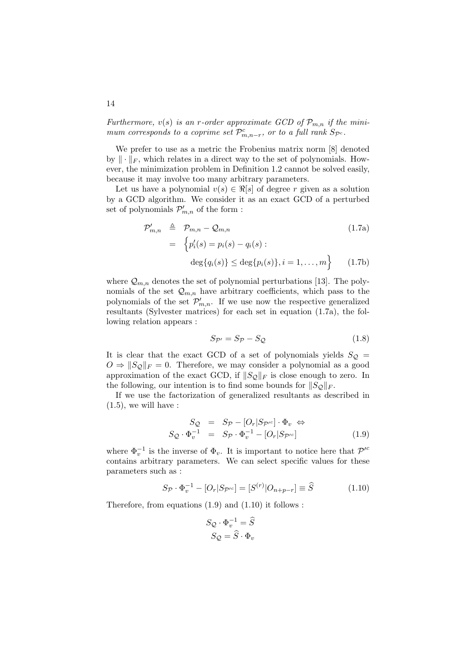Furthermore,  $v(s)$  is an r-order approximate GCD of  $\mathcal{P}_{m,n}$  if the minimum corresponds to a coprime set  $\mathcal{P}_{m,n-r}^c$ , or to a full rank  $S_{\mathcal{P}^c}$ .

We prefer to use as a metric the Frobenius matrix norm [8] denoted by  $\|\cdot\|_F$ , which relates in a direct way to the set of polynomials. However, the minimization problem in Definition 1.2 cannot be solved easily, because it may involve too many arbitrary parameters.

Let us have a polynomial  $v(s) \in \Re[s]$  of degree r given as a solution by a GCD algorithm. We consider it as an exact GCD of a perturbed set of polynomials  $\mathcal{P}'_{m,n}$  of the form :

$$
\mathcal{P}'_{m,n} \triangleq \mathcal{P}_{m,n} - \mathcal{Q}_{m,n} \qquad (1.7a)
$$
\n
$$
= \left\{ p'_i(s) = p_i(s) - q_i(s) : \deg\{q_i(s)\} \leq \deg\{p_i(s)\}, i = 1, \dots, m \right\} \qquad (1.7b)
$$

where  $\mathcal{Q}_{m,n}$  denotes the set of polynomial perturbations [13]. The polynomials of the set  $\mathcal{Q}_{m,n}$  have arbitrary coefficients, which pass to the polynomials of the set  $\mathcal{P}'_{m,n}$ . If we use now the respective generalized resultants (Sylvester matrices) for each set in equation (1.7a), the following relation appears :

$$
S_{\mathcal{P}'} = S_{\mathcal{P}} - S_{\mathcal{Q}} \tag{1.8}
$$

It is clear that the exact GCD of a set of polynomials yields  $S_{\mathcal{Q}} =$  $O \Rightarrow ||S_{\mathcal{Q}}||_F = 0$ . Therefore, we may consider a polynomial as a good approximation of the exact GCD, if  $||S_{\mathcal{Q}}||_F$  is close enough to zero. In the following, our intention is to find some bounds for  $||S_{\mathcal{Q}}||_F$ .

If we use the factorization of generalized resultants as described in  $(1.5)$ , we will have :

$$
S_{\mathcal{Q}} = S_{\mathcal{P}} - [O_r | S_{\mathcal{P}'}^c] \cdot \Phi_v \Leftrightarrow
$$
  

$$
S_{\mathcal{Q}} \cdot \Phi_v^{-1} = S_{\mathcal{P}} \cdot \Phi_v^{-1} - [O_r | S_{\mathcal{P}'}^c]
$$
 (1.9)

where  $\Phi_v^{-1}$  is the inverse of  $\Phi_v$ . It is important to notice here that  $\mathcal{P}'^c$ contains arbitrary parameters. We can select specific values for these parameters such as :

$$
S_{\mathcal{P}} \cdot \Phi_v^{-1} - [O_r | S_{\mathcal{P}'}^c] = [S^{(r)} | O_{n+p-r}] \equiv \widehat{S}
$$
 (1.10)

Therefore, from equations  $(1.9)$  and  $(1.10)$  it follows :

$$
S_{\mathcal{Q}} \cdot \Phi_v^{-1} = \widehat{S}
$$

$$
S_{\mathcal{Q}} = \widehat{S} \cdot \Phi_v
$$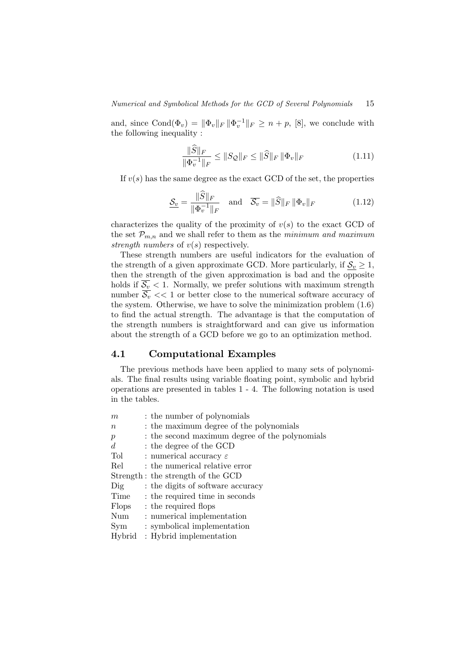and, since Cond $(\Phi_v) = ||\Phi_v||_F ||\Phi_v^{-1}||_F \geq n + p$ , [8], we conclude with the following inequality :

$$
\frac{\|\hat{S}\|_{F}}{\|\Phi_v^{-1}\|_{F}} \le \|S_{\mathcal{Q}}\|_{F} \le \|\hat{S}\|_{F}\|\Phi_v\|_{F}
$$
\n(1.11)

If  $v(s)$  has the same degree as the exact GCD of the set, the properties

$$
\underline{\mathcal{S}_v} = \frac{\|S\|_F}{\|\Phi_v^{-1}\|_F} \quad \text{and} \quad \overline{\mathcal{S}_v} = \|\widehat{S}\|_F \|\Phi_v\|_F \tag{1.12}
$$

characterizes the quality of the proximity of  $v(s)$  to the exact GCD of the set  $\mathcal{P}_{m,n}$  and we shall refer to them as the minimum and maximum strength numbers of  $v(s)$  respectively.

These strength numbers are useful indicators for the evaluation of the strength of a given approximate GCD. More particularly, if  $S_v \geq 1$ , then the strength of the given approximation is bad and the opposite holds if  $\overline{\mathcal{S}_v}$  < 1. Normally, we prefer solutions with maximum strength number  $\overline{\mathcal{S}_v}$  << 1 or better close to the numerical software accuracy of the system. Otherwise, we have to solve the minimization problem (1.6) to find the actual strength. The advantage is that the computation of the strength numbers is straightforward and can give us information about the strength of a GCD before we go to an optimization method.

#### 4.1 Computational Examples

The previous methods have been applied to many sets of polynomials. The final results using variable floating point, symbolic and hybrid operations are presented in tables 1 - 4. The following notation is used in the tables.

| m                    | : the number of polynomials                    |
|----------------------|------------------------------------------------|
| $\, n$               | : the maximum degree of the polynomials        |
| $\boldsymbol{p}$     | : the second maximum degree of the polynomials |
| d                    | : the degree of the GCD                        |
| Tol                  | : numerical accuracy $\varepsilon$             |
| Rel                  | : the numerical relative error                 |
|                      | Strength: the strength of the GCD              |
| $\operatorname{Dig}$ | : the digits of software accuracy              |
| Time                 | : the required time in seconds                 |
| Flops                | : the required flops                           |
| Num                  | : numerical implementation                     |
| Sym                  | : symbolical implementation                    |
| Hybrid               | : Hybrid implementation                        |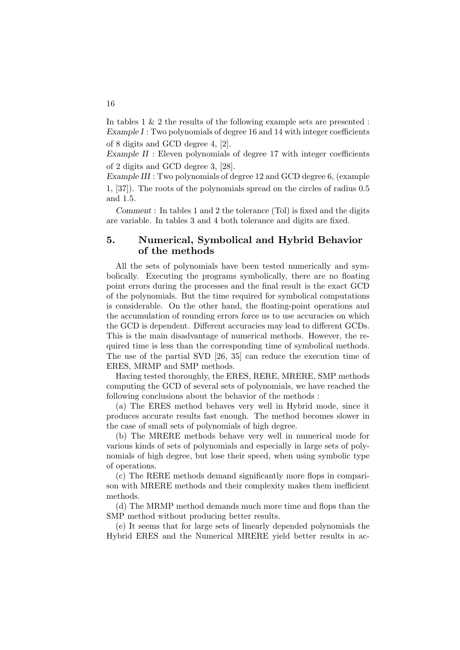In tables 1 & 2 the results of the following example sets are presented : Example I : Two polynomials of degree 16 and 14 with integer coefficients of 8 digits and GCD degree 4, [2].

Example II : Eleven polynomials of degree 17 with integer coefficients of 2 digits and GCD degree 3, [28].

Example III : Two polynomials of degree 12 and GCD degree 6, (example 1, [37]). The roots of the polynomials spread on the circles of radius 0.5 and 1.5.

Comment : In tables 1 and 2 the tolerance (Tol) is fixed and the digits are variable. In tables 3 and 4 both tolerance and digits are fixed.

#### 5. Numerical, Symbolical and Hybrid Behavior of the methods

All the sets of polynomials have been tested numerically and symbolically. Executing the programs symbolically, there are no floating point errors during the processes and the final result is the exact GCD of the polynomials. But the time required for symbolical computations is considerable. On the other hand, the floating-point operations and the accumulation of rounding errors force us to use accuracies on which the GCD is dependent. Different accuracies may lead to different GCDs. This is the main disadvantage of numerical methods. However, the required time is less than the corresponding time of symbolical methods. The use of the partial SVD [26, 35] can reduce the execution time of ERES, MRMP and SMP methods.

Having tested thoroughly, the ERES, RERE, MRERE, SMP methods computing the GCD of several sets of polynomials, we have reached the following conclusions about the behavior of the methods :

(a) The ERES method behaves very well in Hybrid mode, since it produces accurate results fast enough. The method becomes slower in the case of small sets of polynomials of high degree.

(b) The MRERE methods behave very well in numerical mode for various kinds of sets of polynomials and especially in large sets of polynomials of high degree, but lose their speed, when using symbolic type of operations.

(c) The RERE methods demand significantly more flops in comparison with MRERE methods and their complexity makes them inefficient methods.

(d) The MRMP method demands much more time and flops than the SMP method without producing better results.

(e) It seems that for large sets of linearly depended polynomials the Hybrid ERES and the Numerical MRERE yield better results in ac-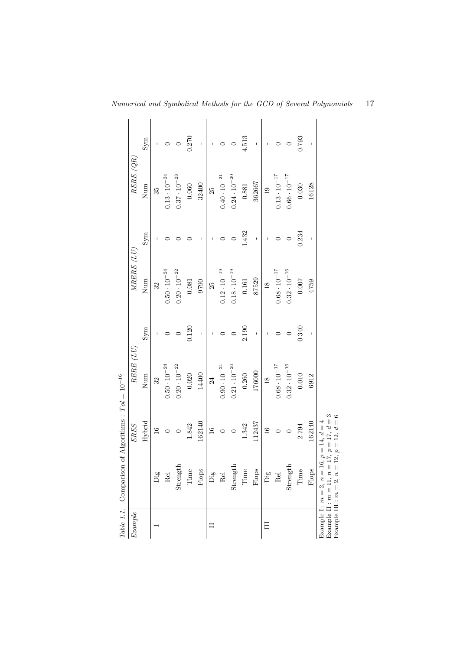| Example |                                                                                                                                            | <b>ERES</b>         | RERE (LU)             |                      | MRERE (LU)            |              | RERE (QR)             |                      |
|---------|--------------------------------------------------------------------------------------------------------------------------------------------|---------------------|-----------------------|----------------------|-----------------------|--------------|-----------------------|----------------------|
|         |                                                                                                                                            | Hybrid              | Num                   | $\operatorname{Sym}$ | Num                   | Sym          | Num                   | $\operatorname{Sym}$ |
|         | Dig                                                                                                                                        | $16\,$              | 32                    |                      | 32                    |              | 35                    |                      |
|         | Rel                                                                                                                                        | $\circ$             | $0.50 \cdot 10^{-24}$ |                      | $0.50 \cdot 10^{-24}$ |              | $0.13 \cdot 10^{-24}$ | $\circ$              |
|         | Strength                                                                                                                                   | $\circ$             | $0.20 \cdot 10^{-22}$ | $\circ$              | $0.20\cdot10^{-22}$   |              | $0.37\cdot10^{-23}$   | $\circ$              |
|         | Time                                                                                                                                       | 1.842               | $0.020\,$             | 0.120                | 0.081                 |              | 0.060                 | 0.270                |
|         | Flops                                                                                                                                      | 162140              | 14400                 | $\bar{\bar{1}}$      | 0626                  |              | 32400                 | ĭ.                   |
| $\Box$  | Dig                                                                                                                                        | $\frac{16}{1}$      | 24                    |                      | 25                    |              | 25                    |                      |
|         | Rel                                                                                                                                        | $\circ$             | $0.90\cdot10^{-21}$   |                      | $0.12\cdot10^{-19}$   | $\circ$      | $0.40\cdot10^{-21}$   | $\circ$              |
|         | Strength                                                                                                                                   | $\circ$             | $0.21\cdot10^{-20}$   |                      | $0.18\cdot10^{-19}$   | $\circ$      | $0.24\cdot10^{-20}$   | $\circ$              |
|         | Time                                                                                                                                       | 1.342               | $0.260\,$             | 2.190                | 0.161                 | 1.432        | $0.881\,$             | 4.513                |
|         | Flops                                                                                                                                      | 112437              | 176000                | $\mathbf{I}$         | 87529                 | $\mathbf{I}$ | 362667                | I.                   |
| $\Xi$   | Dig                                                                                                                                        | $16\,$              | 18                    |                      | <b>18</b>             | ı            | <sup>19</sup>         |                      |
|         | Rel                                                                                                                                        | $\circ$             | $0.68 \cdot 10^{-17}$ |                      | $0.68\cdot10^{-17}$   |              | $0.13\cdot10^{-17}$   | $\circ$              |
|         | Strength                                                                                                                                   | $\circ$             | $0.32 \cdot 10^{-16}$ |                      | $0.32\cdot10^{-16}$   | $\circ$      | $0.66\cdot10^{-17}$   | $\circ$              |
|         | Time                                                                                                                                       | 2.794               | $0.010\,$             | 0.340                | 1000                  | 0.234        | 0.030                 | 0.793                |
|         | Flops                                                                                                                                      | 162140              | 6912                  |                      | 4759                  | ı            | 16128                 | ı                    |
|         | Example II : $m = 11$ , $n = 17$ , $p = 17$ , $d = 3$<br>Example II : $m = 3$ , $m = 13$ , $p = 17$ , $d = 3$<br>Example I : $m=2$ , $n=1$ | $16, p = 14, d = 4$ |                       |                      |                       |              |                       |                      |

Example III :

 $m=2,$ n

 $n = 12, p = 12, d = 6$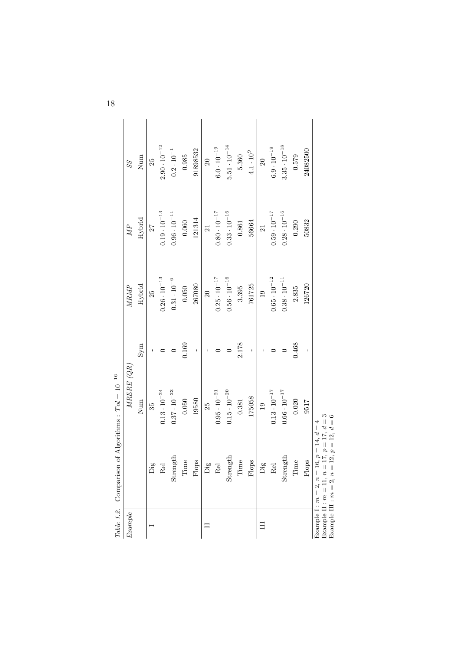|         |                                                                                                     | Table 1.2. Comparison of Algorithms : $Tol = 10^{-16}$                      |               |                       |                       |                     |  |
|---------|-----------------------------------------------------------------------------------------------------|-----------------------------------------------------------------------------|---------------|-----------------------|-----------------------|---------------------|--|
| Example |                                                                                                     | MRERE (QR)                                                                  |               | MRMP                  | $\overline{MP}$       | SS                  |  |
|         |                                                                                                     | Num                                                                         | Sym           | Hybrid                | Hybrid                | Num                 |  |
|         | Dig                                                                                                 | 35                                                                          |               | 25                    | 27                    | 25                  |  |
|         | Rel                                                                                                 | $0.13\cdot10^{-24}$                                                         | $\circ$       | $0.26 \cdot 10^{-13}$ | $0.19\cdot10^{-13}$   | $2.90\cdot10^{-12}$ |  |
|         | Strength                                                                                            | $0.37\cdot10^{-23}$                                                         |               | $0.31\cdot10^{-6}$    | $0.96 \cdot 10^{-11}$ | $0.2\cdot10^{-1}$   |  |
|         | Time                                                                                                | 0.050                                                                       | 0.169         | 0.050                 | 0.060                 | 0.985               |  |
|         | Flops                                                                                               | 19580                                                                       | f,            | 267080                | 121314                | 91898532            |  |
|         | $\operatorname{Di}\nolimits_{\mathcal{B}}$                                                          | 25                                                                          |               | $\overline{20}$       | $\overline{21}$       | 20                  |  |
|         | Rel                                                                                                 | $0.95\cdot10^{-21}$                                                         |               | $0.25\cdot10^{-17}$   | $0.80\cdot 10^{-17}$  | $6.0\cdot10^{-19}$  |  |
|         | Strength                                                                                            | $0.15\cdot10^{-20}$                                                         |               | $0.56\cdot10^{-16}$   | $0.33\cdot10^{-16}$   | $5.51\cdot10^{-14}$ |  |
|         | Time                                                                                                | 0.381                                                                       | 2.178         | 3.395                 | $0.861\,$             | 5.360               |  |
|         | Flops                                                                                               | 175058                                                                      | $\bar{\rm I}$ | 761725                | 56664                 | $4.1\cdot10^9$      |  |
| 目       | Dig                                                                                                 | 19                                                                          |               | $\frac{19}{2}$        | 21                    | $\overline{20}$     |  |
|         | Rel                                                                                                 | $0.13\cdot10^{-17}$                                                         |               | $0.65 \cdot 10^{-12}$ | $0.59\cdot10^{-17}$   | $6.9\cdot10^{-19}$  |  |
|         | Strength                                                                                            | $0.66\cdot10^{-17}$                                                         |               | $0.38 \cdot 10^{-11}$ | $0.28 \cdot 10^{-16}$ | $3.35\cdot10^{-18}$ |  |
|         | Time                                                                                                | 0.020                                                                       | 0.468         | 2.835                 | 0.290                 | 0.579               |  |
|         | Flops                                                                                               | 9517                                                                        |               | 126720                | 50832                 | 24082500            |  |
|         | Example I : $m = 2$ , $n = 16$ ,<br>Example II : $m = 11$ , $n = 1$<br>Example III : $m = 2, n = 1$ | $2, p = 12, d = 6$<br>, $p = 14$ , $d = 4$<br>$\Gamma$ , $p = 17$ , $d = 3$ |               |                       |                       |                     |  |

Example III :  $m = 2$ ,  $n = 12$ ,  $p = 12$ ,  $d = 6$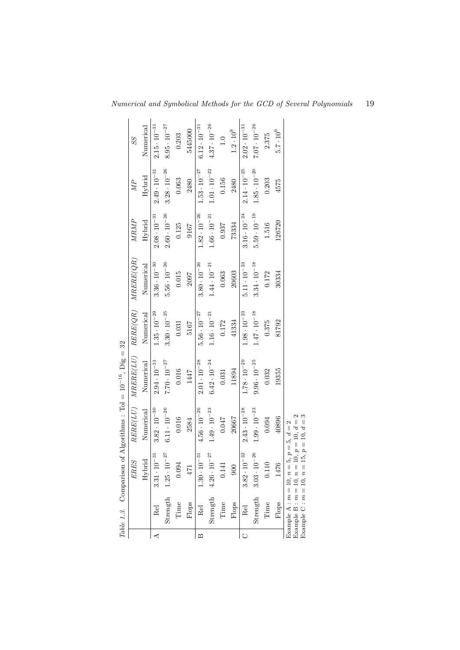|              |                                                                                           |                     |                                                                    | Table 1.3. Comparison of Algorithms : Tol = $10^{-16}$ , Dig = 32 |                     |                        |                       |                       |                     |
|--------------|-------------------------------------------------------------------------------------------|---------------------|--------------------------------------------------------------------|-------------------------------------------------------------------|---------------------|------------------------|-----------------------|-----------------------|---------------------|
|              |                                                                                           | ERES                | <i>RERE(LU)</i>                                                    | MRERE(LU)                                                         |                     | $RERE(QR)$ $MRERE(QR)$ | $MRMP$                | $\overline{MP}$       | SS                  |
|              |                                                                                           | Hybrid              | Numerical                                                          | Numerical                                                         | Numerical           | Numerical              | Hybrid                | Hybrid                | Numerical           |
|              | Rel                                                                                       | $3.31\cdot10^{-31}$ | $3.82 \cdot 10^{-30}$                                              | $2.94 \cdot 10^{-31}$                                             | $1.35\cdot10^{-29}$ | $3.36 \cdot 10^{-30}$  | $2.08 \cdot 10^{-31}$ | $2.49 \cdot 10^{-31}$ | $2.15\cdot10^{-31}$ |
|              | Strength                                                                                  | $1.25\cdot10^{-27}$ | $6.11\cdot10^{-26}$                                                | $7.70 \cdot 10^{-27}$                                             | $3.30\cdot10^{-25}$ | $5.56\cdot10^{-26}$    | $2.60\cdot10^{-26}$   | $3.28\cdot10^{-26}$   | $8.95\cdot10^{-27}$ |
|              | Time                                                                                      | 0.094               | 0.016                                                              | $0.016\,$                                                         | $\,0.031$           | 0.015                  | 0.125                 | 0.063                 | 0.203               |
|              | Flops                                                                                     | 471                 | 2584                                                               | 1447                                                              | 5167                | 7002                   | 7916                  | 2480                  | 5445000             |
| $\mathbf{m}$ | Rel                                                                                       | $1.30\cdot10^{-31}$ | $4.56\cdot10^{-26}$                                                | $2.01\cdot10^{-28}$                                               | $5.56\cdot10^{-27}$ | $3.80\cdot10^{-26}$    | $1.82\cdot10^{-26}$   | $1.53 \cdot 10^{-27}$ | $6.12\cdot10^{-31}$ |
|              | Strength                                                                                  | $4.26\cdot10^{-27}$ | $1.49\cdot10^{-23}$                                                | $6.42\cdot10^{-24}$                                               | $1.16\cdot10^{-21}$ | $1.44\cdot10^{-21}$    | $1.66\cdot10^{-21}$   | $1.01\cdot10^{-22}$   | $4.37\cdot10^{-26}$ |
|              | Time                                                                                      | 0.141               | 0.047                                                              | 0.031                                                             | 0.172               | 0.063                  | 0.937                 | 0.156                 | $1.0\,$             |
|              | Flops                                                                                     | 000                 | 20667                                                              | 11894                                                             | 41334               | 20603                  | 73334                 | 2480                  | $1.2\cdot10^9$      |
| $\circ$      | Rel                                                                                       | $3.82\cdot10^{-32}$ | $2.43\cdot10^{-28}$                                                | $1.78\cdot10^{-29}$                                               | $1.98\cdot10^{-23}$ | $5.11\cdot10^{-23}$    | $3.16 \cdot 10^{-24}$ | $2.14\cdot10^{-25}$   | $2.02\cdot10^{-31}$ |
|              | Strength                                                                                  | $3.03\cdot10^{-26}$ | $1.99\cdot10^{-23}$                                                | $9.96\cdot10^{-25}$                                               | $1.47\cdot10^{-18}$ | $3.34\cdot10^{-18}$    | $5.59\cdot10^{-19}$   | $1.85\cdot10^{-20}$   | $7.07\cdot10^{-26}$ |
|              | Time                                                                                      | 0.110               | 0.094                                                              | 0.032                                                             | 0.375               | 0.172                  | 1.516                 | 0.203                 | 2.375               |
|              | Flops                                                                                     | 1476                | 40896                                                              | 19355                                                             | 81792               | 30334                  | 126720                | 4575                  | $5.7 \cdot 10^{9}$  |
|              | Example A : $m = 10$ , $n =$<br>Example C : $m = 10$ , $n =$<br>Example $B : m = 10, n =$ |                     | 15, $p = 10, d = 3$<br>10, $p = 10$ , $d = 2$<br>$5, p = 5, d = 2$ |                                                                   |                     |                        |                       |                       |                     |

 $m = 10,$ 

 $n = 15, p = 10, d = 3$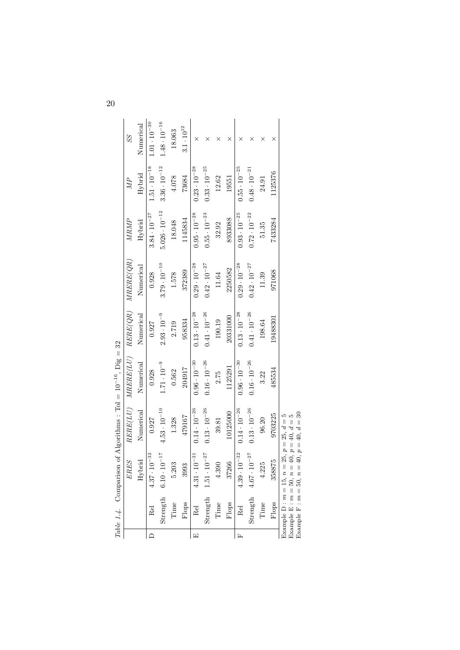|   |                              |                                                                                                               |                       | Table 1.4. Comparison of Algorithms : Tol = $10^{-16}$ , Dig = 32 |                       |                       |                       |                       |                     |
|---|------------------------------|---------------------------------------------------------------------------------------------------------------|-----------------------|-------------------------------------------------------------------|-----------------------|-----------------------|-----------------------|-----------------------|---------------------|
|   |                              | ERES                                                                                                          |                       | $RERE(LU)$ $MRERE(LU)$ $RERE(QR)$ $MRERE(QR)$                     |                       |                       | $MRMP$                | MP                    | SS                  |
|   |                              | Hybrid                                                                                                        | Numerical             | Numerical                                                         | Numerical             | Numerical             | Hybrid                | Hybrid                | Numerical           |
|   | Rel                          | $4.37\cdot10^{-32}$                                                                                           | 0.927                 | 0.928                                                             | 0.927                 | 0.928                 | $3.84\cdot10^{-27}$   | $1.51\cdot10^{-18}$   | $1.01\cdot10^{-30}$ |
|   | Strength                     | $6.10\cdot10^{-17}$                                                                                           | $4.53 \cdot 10^{-10}$ | $1.71\cdot10^{-9}$                                                | $2.93 \cdot 10^{-9}$  | $3.79 \cdot 10^{-10}$ | $5.026\cdot10^{-12}$  | $3.36\cdot10^{-12}$   | $1.48\cdot10^{-16}$ |
|   | Time                         | 5.203                                                                                                         | 1.328                 | 0.562                                                             | 2.719                 | 1.578                 | 18.048                | 4.078                 | 18.063              |
|   | Flops                        | 3993                                                                                                          | 479167                | 204917                                                            | 958334                | 372389                | 1145834               | 73684                 | $3.1\cdot10^{12}$   |
| 囯 | Rel                          | $4.31\cdot10^{-31}$                                                                                           | $0.14 \cdot 10^{-26}$ | $0.96 \cdot 10^{-30}$                                             | $0.13 \cdot 10^{-28}$ | $0.29 \cdot 10^{-28}$ | $0.95\cdot10^{-28}$   | $0.23 \cdot 10^{-28}$ | ×                   |
|   | Strength                     | $1.51\cdot10^{-27}$                                                                                           | $0.13\cdot10^{-26}$   | $0.16\cdot10^{-26}$                                               | $0.41\cdot10^{-26}$   | $0.42 \cdot 10^{-27}$ | $0.55\cdot10^{-23}$   | $0.33\cdot10^{-25}$   | ×                   |
|   | Time                         | 4.390                                                                                                         | 39.81                 | 2.75                                                              | 190.19                | $11.64\,$             | 32.92                 | 12.62                 | ×                   |
|   | Flops                        | 37266                                                                                                         | 10125000              | 1125291                                                           | 20331000              | 2250582               | 8933088               | 19551                 | ×                   |
| 匞 | Rel                          | $4.39\cdot10^{-32}$                                                                                           | $0.14\cdot10^{-26}$   | $0.96\cdot10^{-30}$                                               | $0.13 \cdot 10^{-28}$ | $0.29\cdot10^{-28}$   | $0.93\cdot10^{-25}$   | $0.55\cdot10^{-25}$   |                     |
|   |                              | Strength $4.67 \cdot 10^{-27}$                                                                                | $0.13\cdot10^{-26}$   | $0.16\cdot10^{-26}$                                               | $0.41\cdot10^{-26}$   | $0.42 \cdot 10^{-27}$ | $0.72 \cdot 10^{-22}$ | $0.48\cdot10^{-21}$   | ×                   |
|   | Time                         | 4.225                                                                                                         | 96.20                 | 3.22                                                              | 198.64                | 11.39                 | 51.35                 | 24.91                 | ×                   |
|   | Flops                        | 358875                                                                                                        | 9703225               | 485534                                                            | 19488301              | 971068                | 7433284               | 1125376               | ×                   |
|   | Example E : $m = 50$ , $n =$ | Example F : $m = 50$ , $n = 40$ , $p = 40$ , $d = 30$<br>Example D : $m = 15$ , $n = 25$ , $p = 25$ , $d = 5$ | $40, p = 40, d = 5$   |                                                                   |                       |                       |                       |                       |                     |

 $-39$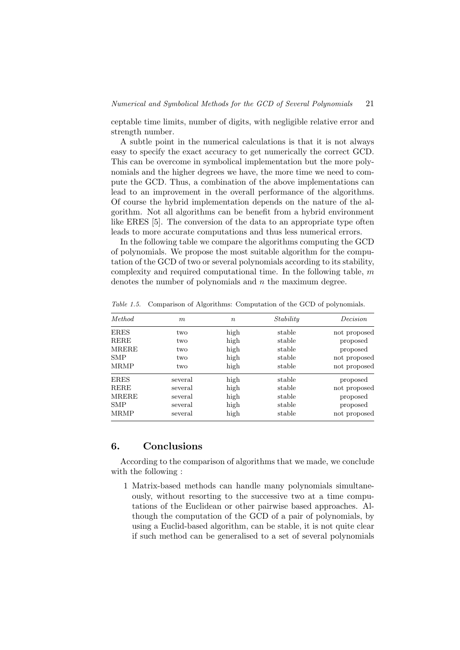ceptable time limits, number of digits, with negligible relative error and strength number.

A subtle point in the numerical calculations is that it is not always easy to specify the exact accuracy to get numerically the correct GCD. This can be overcome in symbolical implementation but the more polynomials and the higher degrees we have, the more time we need to compute the GCD. Thus, a combination of the above implementations can lead to an improvement in the overall performance of the algorithms. Of course the hybrid implementation depends on the nature of the algorithm. Not all algorithms can be benefit from a hybrid environment like ERES [5]. The conversion of the data to an appropriate type often leads to more accurate computations and thus less numerical errors.

In the following table we compare the algorithms computing the GCD of polynomials. We propose the most suitable algorithm for the computation of the GCD of two or several polynomials according to its stability, complexity and required computational time. In the following table,  $m$ denotes the number of polynomials and n the maximum degree.

| Decision     | Stability | $\boldsymbol{n}$ | m       | <i>Method</i> |
|--------------|-----------|------------------|---------|---------------|
| not proposed | stable    | high             | two     | <b>ERES</b>   |
| proposed     | stable    | high             | two     | RERE          |
| proposed     | stable    | high             | two     | <b>MRERE</b>  |
| not proposed | stable    | high             | two     | <b>SMP</b>    |
| not proposed | stable    | high             | two     | MRMP          |
| proposed     | stable    | high             | several | <b>ERES</b>   |
| not proposed | stable    | high             | several | RERE          |
| proposed     | stable    | high             | several | MRERE         |
| proposed     | stable    | high             | several | <b>SMP</b>    |
| not proposed | stable    | high             | several | MRMP          |

Table 1.5. Comparison of Algorithms: Computation of the GCD of polynomials.

#### 6. Conclusions

According to the comparison of algorithms that we made, we conclude with the following :

1 Matrix-based methods can handle many polynomials simultaneously, without resorting to the successive two at a time computations of the Euclidean or other pairwise based approaches. Although the computation of the GCD of a pair of polynomials, by using a Euclid-based algorithm, can be stable, it is not quite clear if such method can be generalised to a set of several polynomials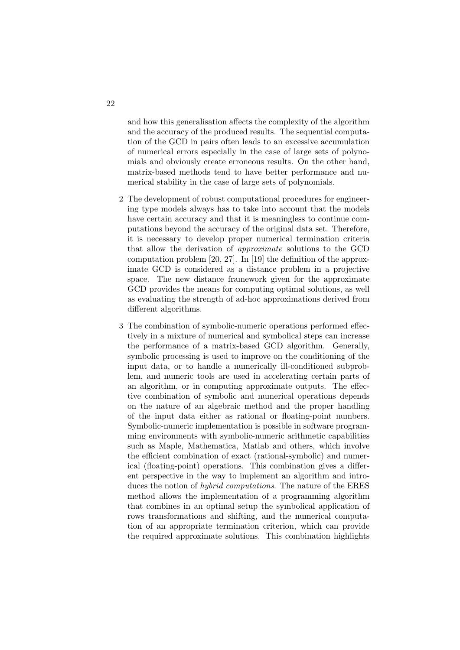and how this generalisation affects the complexity of the algorithm and the accuracy of the produced results. The sequential computation of the GCD in pairs often leads to an excessive accumulation of numerical errors especially in the case of large sets of polynomials and obviously create erroneous results. On the other hand, matrix-based methods tend to have better performance and numerical stability in the case of large sets of polynomials.

- 2 The development of robust computational procedures for engineering type models always has to take into account that the models have certain accuracy and that it is meaningless to continue computations beyond the accuracy of the original data set. Therefore, it is necessary to develop proper numerical termination criteria that allow the derivation of approximate solutions to the GCD computation problem [20, 27]. In [19] the definition of the approximate GCD is considered as a distance problem in a projective space. The new distance framework given for the approximate GCD provides the means for computing optimal solutions, as well as evaluating the strength of ad-hoc approximations derived from different algorithms.
- 3 The combination of symbolic-numeric operations performed effectively in a mixture of numerical and symbolical steps can increase the performance of a matrix-based GCD algorithm. Generally, symbolic processing is used to improve on the conditioning of the input data, or to handle a numerically ill-conditioned subproblem, and numeric tools are used in accelerating certain parts of an algorithm, or in computing approximate outputs. The effective combination of symbolic and numerical operations depends on the nature of an algebraic method and the proper handling of the input data either as rational or floating-point numbers. Symbolic-numeric implementation is possible in software programming environments with symbolic-numeric arithmetic capabilities such as Maple, Mathematica, Matlab and others, which involve the efficient combination of exact (rational-symbolic) and numerical (floating-point) operations. This combination gives a different perspective in the way to implement an algorithm and introduces the notion of *hybrid computations*. The nature of the ERES method allows the implementation of a programming algorithm that combines in an optimal setup the symbolical application of rows transformations and shifting, and the numerical computation of an appropriate termination criterion, which can provide the required approximate solutions. This combination highlights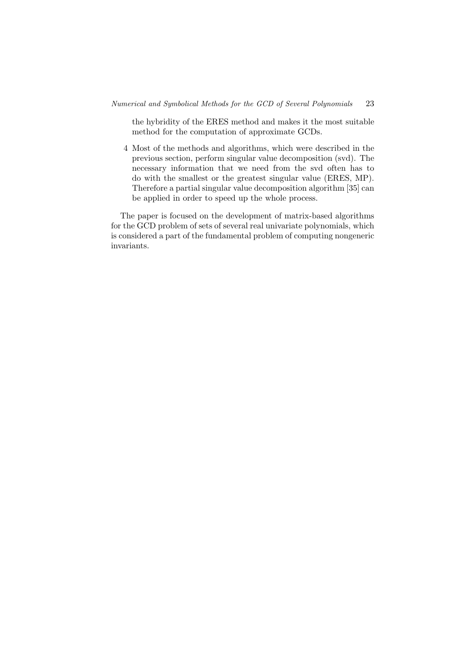the hybridity of the ERES method and makes it the most suitable method for the computation of approximate GCDs.

4 Most of the methods and algorithms, which were described in the previous section, perform singular value decomposition (svd). The necessary information that we need from the svd often has to do with the smallest or the greatest singular value (ERES, MP). Therefore a partial singular value decomposition algorithm [35] can be applied in order to speed up the whole process.

The paper is focused on the development of matrix-based algorithms for the GCD problem of sets of several real univariate polynomials, which is considered a part of the fundamental problem of computing nongeneric invariants.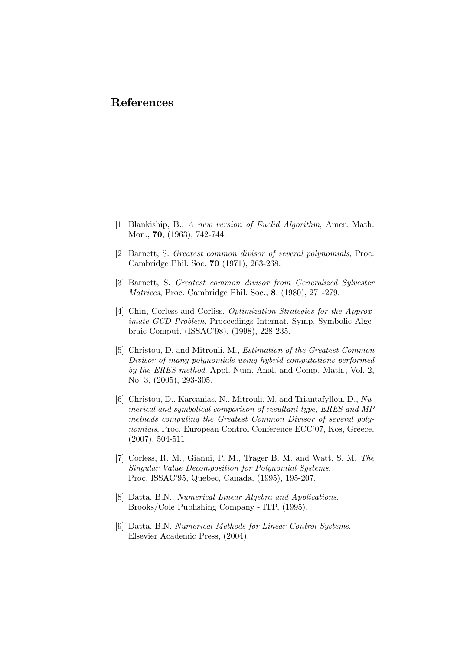## References

- [1] Blankiship, B., A new version of Euclid Algorithm, Amer. Math. Mon., 70, (1963), 742-744.
- [2] Barnett, S. Greatest common divisor of several polynomials, Proc. Cambridge Phil. Soc. 70 (1971), 263-268.
- [3] Barnett, S. Greatest common divisor from Generalized Sylvester Matrices, Proc. Cambridge Phil. Soc., 8, (1980), 271-279.
- [4] Chin, Corless and Corliss, Optimization Strategies for the Approximate GCD Problem, Proceedings Internat. Symp. Symbolic Algebraic Comput. (ISSAC'98), (1998), 228-235.
- [5] Christou, D. and Mitrouli, M., Estimation of the Greatest Common Divisor of many polynomials using hybrid computations performed by the ERES method, Appl. Num. Anal. and Comp. Math., Vol. 2, No. 3, (2005), 293-305.
- [6] Christou, D., Karcanias, N., Mitrouli, M. and Triantafyllou, D., Numerical and symbolical comparison of resultant type, ERES and MP methods computing the Greatest Common Divisor of several polynomials, Proc. European Control Conference ECC'07, Kos, Greece,  $(2007), 504-511.$
- [7] Corless, R. M., Gianni, P. M., Trager B. M. and Watt, S. M. The Singular Value Decomposition for Polynomial Systems, Proc. ISSAC'95, Quebec, Canada, (1995), 195-207.
- [8] Datta, B.N., Numerical Linear Algebra and Applications, Brooks/Cole Publishing Company - ITP, (1995).
- [9] Datta, B.N. Numerical Methods for Linear Control Systems, Elsevier Academic Press, (2004).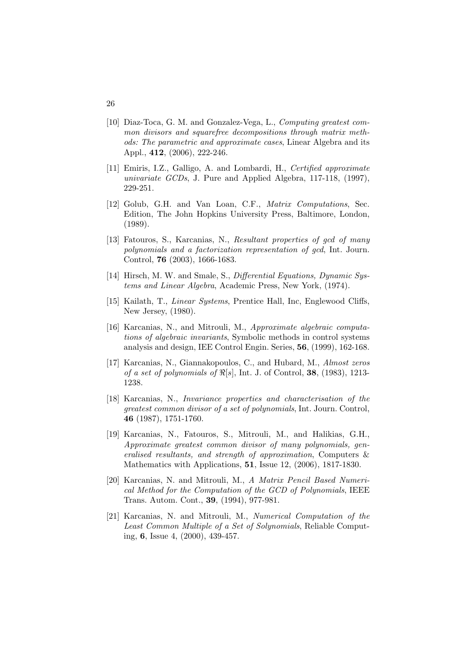- [10] Diaz-Toca, G. M. and Gonzalez-Vega, L., Computing greatest common divisors and squarefree decompositions through matrix methods: The parametric and approximate cases, Linear Algebra and its Appl., 412, (2006), 222-246.
- [11] Emiris, I.Z., Galligo, A. and Lombardi, H., Certified approximate univariate GCDs, J. Pure and Applied Algebra, 117-118, (1997), 229-251.
- [12] Golub, G.H. and Van Loan, C.F., Matrix Computations, Sec. Edition, The John Hopkins University Press, Baltimore, London, (1989).
- [13] Fatouros, S., Karcanias, N., Resultant properties of gcd of many polynomials and a factorization representation of gcd, Int. Journ. Control, 76 (2003), 1666-1683.
- [14] Hirsch, M. W. and Smale, S., Differential Equations, Dynamic Systems and Linear Algebra, Academic Press, New York, (1974).
- [15] Kailath, T., Linear Systems, Prentice Hall, Inc, Englewood Cliffs, New Jersey, (1980).
- [16] Karcanias, N., and Mitrouli, M., Approximate algebraic computations of algebraic invariants, Symbolic methods in control systems analysis and design, IEE Control Engin. Series, 56, (1999), 162-168.
- [17] Karcanias, N., Giannakopoulos, C., and Hubard, M., Almost zeros of a set of polynomials of  $\Re[s]$ , Int. J. of Control, **38**, (1983), 1213-1238.
- [18] Karcanias, N., Invariance properties and characterisation of the greatest common divisor of a set of polynomials, Int. Journ. Control, 46 (1987), 1751-1760.
- [19] Karcanias, N., Fatouros, S., Mitrouli, M., and Halikias, G.H., Approximate greatest common divisor of many polynomials, generalised resultants, and strength of approximation, Computers & Mathematics with Applications, 51, Issue 12, (2006), 1817-1830.
- [20] Karcanias, N. and Mitrouli, M., A Matrix Pencil Based Numerical Method for the Computation of the GCD of Polynomials, IEEE Trans. Autom. Cont., 39, (1994), 977-981.
- [21] Karcanias, N. and Mitrouli, M., Numerical Computation of the Least Common Multiple of a Set of Solynomials, Reliable Computing, 6, Issue 4, (2000), 439-457.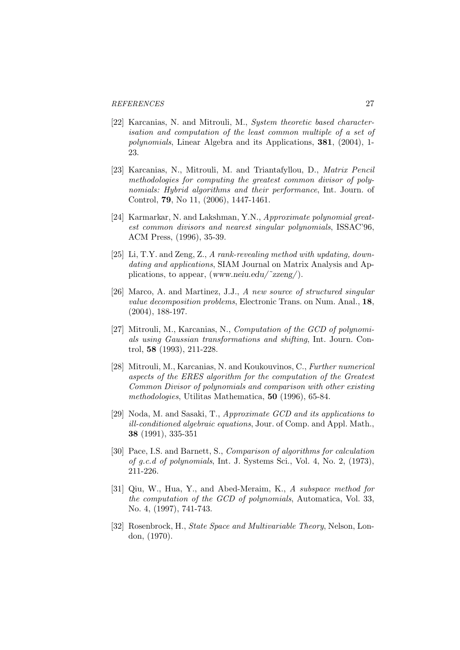- [22] Karcanias, N. and Mitrouli, M., System theoretic based characterisation and computation of the least common multiple of a set of polynomials, Linear Algebra and its Applications, 381, (2004), 1- 23.
- [23] Karcanias, N., Mitrouli, M. and Triantafyllou, D., Matrix Pencil methodologies for computing the greatest common divisor of polynomials: Hybrid algorithms and their performance, Int. Journ. of Control, 79, No 11, (2006), 1447-1461.
- [24] Karmarkar, N. and Lakshman, Y.N., Approximate polynomial greatest common divisors and nearest singular polynomials, ISSAC'96, ACM Press, (1996), 35-39.
- [25] Li, T.Y. and Zeng, Z., A rank-revealing method with updating, downdating and applications, SIAM Journal on Matrix Analysis and Applications, to appear, (www.neiu.edu/˜zzeng/).
- [26] Marco, A. and Martinez, J.J., A new source of structured singular value decomposition problems, Electronic Trans. on Num. Anal., 18, (2004), 188-197.
- [27] Mitrouli, M., Karcanias, N., Computation of the GCD of polynomials using Gaussian transformations and shifting, Int. Journ. Control, 58 (1993), 211-228.
- [28] Mitrouli, M., Karcanias, N. and Koukouvinos, C., Further numerical aspects of the ERES algorithm for the computation of the Greatest Common Divisor of polynomials and comparison with other existing methodologies, Utilitas Mathematica, 50 (1996), 65-84.
- [29] Noda, M. and Sasaki, T., Approximate GCD and its applications to ill-conditioned algebraic equations, Jour. of Comp. and Appl. Math., 38 (1991), 335-351
- [30] Pace, I.S. and Barnett, S., Comparison of algorithms for calculation of g.c.d of polynomials, Int. J. Systems Sci., Vol. 4, No. 2, (1973), 211-226.
- [31] Qiu, W., Hua, Y., and Abed-Meraim, K., A subspace method for the computation of the GCD of polynomials, Automatica, Vol. 33, No. 4, (1997), 741-743.
- [32] Rosenbrock, H., State Space and Multivariable Theory, Nelson, London, (1970).